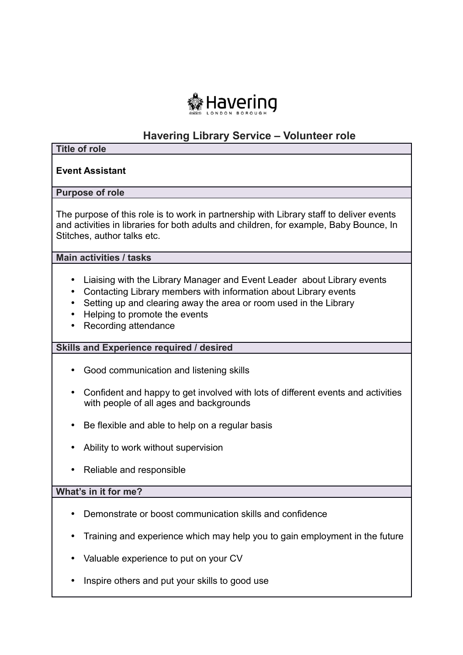

# **Havering Library Service – Volunteer role**

#### **Title of role**

## **Event Assistant**

#### **Purpose of role**

 The purpose of this role is to work in partnership with Library staff to deliver events and activities in libraries for both adults and children, for example, Baby Bounce, In Stitches, author talks etc.

 **Main activities / tasks** 

- Liaising with the Library Manager and Event Leader about Library events
- Contacting Library members with information about Library events
- Setting up and clearing away the area or room used in the Library
- Helping to promote the events
- Recording attendance

## **Skills and Experience required / desired**

- Good communication and listening skills
- • Confident and happy to get involved with lots of different events and activities with people of all ages and backgrounds
- Be flexible and able to help on a regular basis
- Ability to work without supervision
- Reliable and responsible

## **What's in it for me?**

- Demonstrate or boost communication skills and confidence
- Training and experience which may help you to gain employment in the future
- Valuable experience to put on your CV
- Inspire others and put your skills to good use